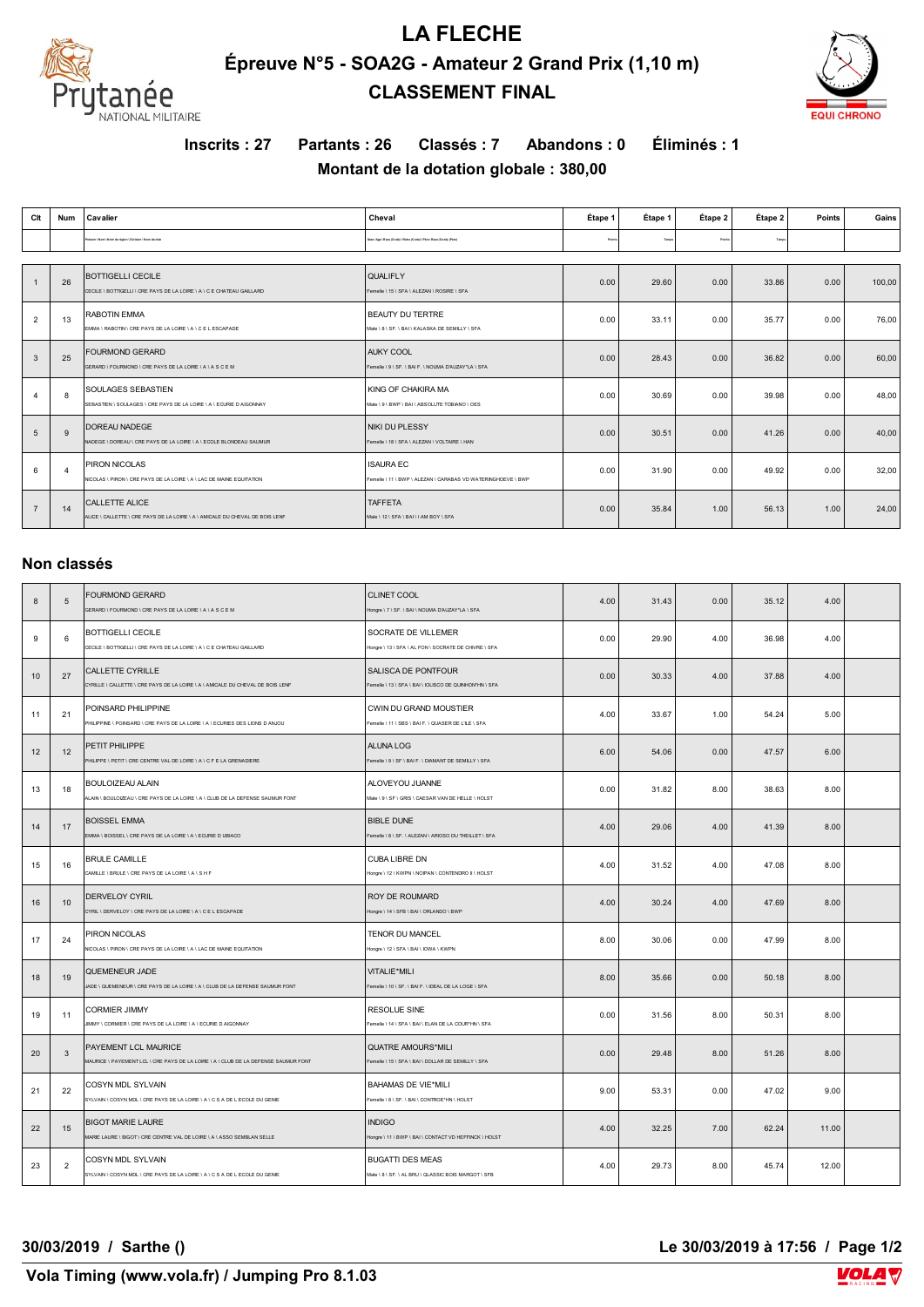

## **LA FLECHE Épreuve N°5 - SOA2G - Amateur 2 Grand Prix (1,10 m) CLASSEMENT FINAL**



**Inscrits : 27 Partants : 26 Classés : 7 Abandons : 0 Éliminés : 1**

### **Montant de la dotation globale : 380,00**

| Clt            | Num      | Cavalier                                                                                              | Cheval                                                                           | Étape 1 | Étape 1 | Étape 2 | Étape 2 | Points | Gains  |
|----------------|----------|-------------------------------------------------------------------------------------------------------|----------------------------------------------------------------------------------|---------|---------|---------|---------|--------|--------|
|                |          | Prénom \ Nom \ Nom de nicion \ Division \ Nom de club                                                 | Sepp   Ape   Race   Codel   Robe   Codel   Pire   Race   Codel   Pilmi           | Points  | Tempe   | Points  | Tomps   |        |        |
|                |          |                                                                                                       |                                                                                  |         |         |         |         |        |        |
|                | 26       | <b>BOTTIGELLI CECILE</b><br>CECILE \ BOTTIGELLI \ CRE PAYS DE LA LOIRE \ A \ C E CHATEAU GAILLARD     | QUALIFLY<br>Femelle \ 15 \ SFA \ ALEZAN \ ROSIRE \ SFA                           | 0.00    | 29.60   | 0.00    | 33.86   | 0.00   | 100,00 |
| $\overline{2}$ | 13       | <b>RABOTIN EMMA</b><br>EMMA \ RABOTIN \ CRE PAYS DE LA LOIRE \ A \ C E L ESCAPADE                     | <b>BEAUTY DU TERTRE</b><br>Male \ 8 \ SF. \ BAI \ KALASKA DE SEMILLY \ SFA       | 0.00    | 33.11   | 0.00    | 35.77   | 0.00   | 76,00  |
| $\mathbf{3}$   | 25       | <b>FOURMOND GERARD</b><br>GERARD \ FOURMOND \ CRE PAYS DE LA LOIRE \ A \ A S C E M                    | <b>AUKY COOL</b><br>Femelle \ 9 \ SF. \ BAI F. \ NOUMA D'AUZAY*LA \ SFA          | 0.00    | 28.43   | 0.00    | 36.82   | 0.00   | 60,00  |
|                | 8        | <b>SOULAGES SEBASTIEN</b><br>SEBASTIEN \ SOULAGES \ CRE PAYS DE LA LOIRE \ A \ ECURIE D AIGONNAY      | KING OF CHAKIRA MA<br>Male \ 9 \ BWP \ BAI \ ABSOLUTE TOBIANO \ OES              | 0.00    | 30.69   | 0.00    | 39.98   | 0.00   | 48,00  |
| 5              | 9        | <b>DOREAU NADEGE</b><br>NADEGE \ DOREAU \ CRE PAYS DE LA LOIRE \ A \ ECOLE BLONDEAU SAUMUR            | NIKI DU PLESSY<br>Femelle \ 18 \ SFA \ ALEZAN \ VOLTAIRE \ HAN                   | 0.00    | 30.51   | 0.00    | 41.26   | 0.00   | 40,00  |
| 6              | $\Delta$ | <b>PIRON NICOLAS</b><br>NICOLAS \ PIRON \ CRE PAYS DE LA LOIRE \ A \ LAC DE MAINE EQUITATION          | <b>ISAURA EC</b><br>Femelle \ 11 \ BWP \ ALEZAN \ CARABAS VD WATERINGHOEVE \ BWP | 0.00    | 31.90   | 0.00    | 49.92   | 0.00   | 32,00  |
| $\overline{7}$ | 14       | <b>CALLETTE ALICE</b><br>ALICE \ CALLETTE \ CRE PAYS DE LA LOIRE \ A \ AMICALE DU CHEVAL DE BOIS LENF | <b>TAFFETA</b><br>Male \12 \SFA \BAI \ I AM BOY \ SFA                            | 0.00    | 35.84   | 1.00    | 56.13   | 1.00   | 24,00  |

#### **Non classés**

| $\boldsymbol{8}$ | 5              | <b>FOURMOND GERARD</b><br>GERARD \ FOURMOND \ CRE PAYS DE LA LOIRE \ A \ A S C E M                         | <b>CLINET COOL</b><br>Hongre \ 7 \ SF. \ BAI \ NOUMA D'AUZAY*LA \ SFA           | 4.00 | 31.43 | 0.00 | 35.12 | 4.00  |  |
|------------------|----------------|------------------------------------------------------------------------------------------------------------|---------------------------------------------------------------------------------|------|-------|------|-------|-------|--|
| 9                | 6              | <b>BOTTIGELLI CECILE</b><br>CECILE \ BOTTIGELLI \ CRE PAYS DE LA LOIRE \ A \ C E CHATEAU GAILLARD          | SOCRATE DE VILLEMER<br>Hongre \ 13 \ SFA \ AL FON \ SOCRATE DE CHIVRE \ SFA     | 0.00 | 29.90 | 4.00 | 36.98 | 4.00  |  |
| 10               | 27             | CALLETTE CYRILLE<br>CYRILLE \ CALLETTE \ CRE PAYS DE LA LOIRE \ A \ AMICALE DU CHEVAL DE BOIS LENF         | SALISCA DE PONTFOUR<br>emelle \ 13 \ SFA \ BAI \ IOLISCO DE QUINHON*HN \ SFA    | 0.00 | 30.33 | 4.00 | 37.88 | 4.00  |  |
| 11               | 21             | POINSARD PHILIPPINE<br>PHILIPPINE \ POINSARD \ CRE PAYS DE LA LOIRE \ A \ ECURIES DES LIONS D ANJOU        | CWIN DU GRAND MOUSTIER<br>emelle \ 11 \ SBS \ BAI F. \ QUASER DE L'ILE \ SFA    | 4.00 | 33.67 | 1.00 | 54.24 | 5.00  |  |
| 12               | 12             | PETIT PHILIPPE<br>PHILIPPE \ PETIT \ CRE CENTRE VAL DE LOIRE \ A \ C F E LA GRENADIERE                     | ALUNA LOG<br>Femelle \ 9 \ SF \ BAI F. \ DIAMANT DE SEMILLY \ SFA               | 6.00 | 54.06 | 0.00 | 47.57 | 6.00  |  |
| 13               | 18             | <b>BOULOIZEAU ALAIN</b><br>ALAIN \ BOULOIZEAU \ CRE PAYS DE LA LOIRE \ A \ CLUB DE LA DEFENSE SAUMUR FONT  | ALOVEYOU JUANNE<br>Male \ 9 \ SF \ GRIS \ CAESAR VAN DE HELLE \ HOLST           | 0.00 | 31.82 | 8.00 | 38.63 | 8.00  |  |
| 14               | 17             | <b>BOISSEL EMMA</b><br>EMMA \ BOISSEL \ CRE PAYS DE LA LOIRE \ A \ ECURIE D UBIACO                         | <b>BIBLE DUNE</b><br>Femelle \ 8 \ SF. \ ALEZAN \ ARIOSO DU THEILLET \ SFA      | 4.00 | 29.06 | 4.00 | 41.39 | 8.00  |  |
| 15               | 16             | <b>BRULE CAMILLE</b><br>CAMILLE \ BRULE \ CRE PAYS DE LA LOIRE \ A \ S H F                                 | <b>CUBA LIBRE DN</b><br>Hongre \ 12 \ KWPN \ NOIPAN \ CONTENDRO II \ HOLST      | 4.00 | 31.52 | 4.00 | 47.08 | 8.00  |  |
| 16               | 10             | <b>DERVELOY CYRIL</b><br>CYRIL \ DERVELOY \ CRE PAYS DE LA LOIRE \ A \ C E L ESCAPADE                      | <b>ROY DE ROUMARD</b><br>longre \ 14 \ SFB \ BAI \ ORLANDO \ BWP                | 4.00 | 30.24 | 4.00 | 47.69 | 8.00  |  |
| 17               | 24             | PIRON NICOLAS<br>NICOLAS \ PIRON \ CRE PAYS DE LA LOIRE \ A \ LAC DE MAINE EQUITATION                      | TENOR DU MANCEL<br>Hongre \ 12 \ SFA \ BAI \ IOWA \ KWPN                        | 8.00 | 30.06 | 0.00 | 47.99 | 8.00  |  |
| 18               | 19             | QUEMENEUR JADE<br>JADE \ QUEMENEUR \ CRE PAYS DE LA LOIRE \ A \ CLUB DE LA DEFENSE SAUMUR FONT             | VITALIE*MILI<br>Femelle \ 10 \ SF. \ BAI F. \ IDEAL DE LA LOGE \ SFA            | 8.00 | 35.66 | 0.00 | 50.18 | 8.00  |  |
| 19               | 11             | <b>CORMIER JIMMY</b><br>JIMMY \ CORMIER \ CRE PAYS DE LA LOIRE \ A \ ECURIE D AIGONNAY                     | <b>RESOLUE SINE</b><br>emelle \ 14 \ SFA \ BAI \ ELAN DE LA COUR*HN \ SFA       | 0.00 | 31.56 | 8.00 | 50.31 | 8.00  |  |
| 20               | $\mathbf{3}$   | PAYEMENT LCL MAURICE<br>MAURICE \ PAYEMENT LCL \ CRE PAYS DE LA LOIRE \ A \ CLUB DE LA DEFENSE SAUMUR FONT | <b>QUATRE AMOURS*MILI</b><br>Femelle \ 15 \ SFA \ BAI \ DOLLAR DE SEMILLY \ SFA | 0.00 | 29.48 | 8.00 | 51.26 | 8.00  |  |
| 21               | 22             | COSYN MDL SYLVAIN<br>SYLVAIN \ COSYN MDL \ CRE PAYS DE LA LOIRE \ A \ C S A DE L ECOLE DU GENIE            | <b>BAHAMAS DE VIE*MILI</b><br>Femelle \ 8 \ SF, \ BAI \ CONTROE*HN \ HOLST      | 9.00 | 53.31 | 0.00 | 47.02 | 9.00  |  |
| 22               | 15             | <b>BIGOT MARIE LAURE</b><br>MARIE LAURE \ BIGOT \ CRE CENTRE VAL DE LOIRE \ A \ ASSO SEMBLAN SELLE         | <b>INDIGO</b><br>Hongre \ 11 \ BWP \ BAI \ CONTACT VD HEFFINCK \ HOLST          | 4.00 | 32.25 | 7.00 | 62.24 | 11.00 |  |
| 23               | $\overline{2}$ | <b>COSYN MDL SYLVAIN</b><br>SYLVAIN \ COSYN MDL \ CRE PAYS DE LA LOIRE \ A \ C S A DE L ECOLE DU GENIE     | <b>BUGATTI DES MEAS</b><br>Male \ 8 \ SF. \ AL BRU \ QLASSIC BOIS MARGOT \ SFB  | 4.00 | 29.73 | 8.00 | 45.74 | 12.00 |  |

**30/03/2019 / Sarthe () Le 30/03/2019 à 17:56 / Page 1/2**